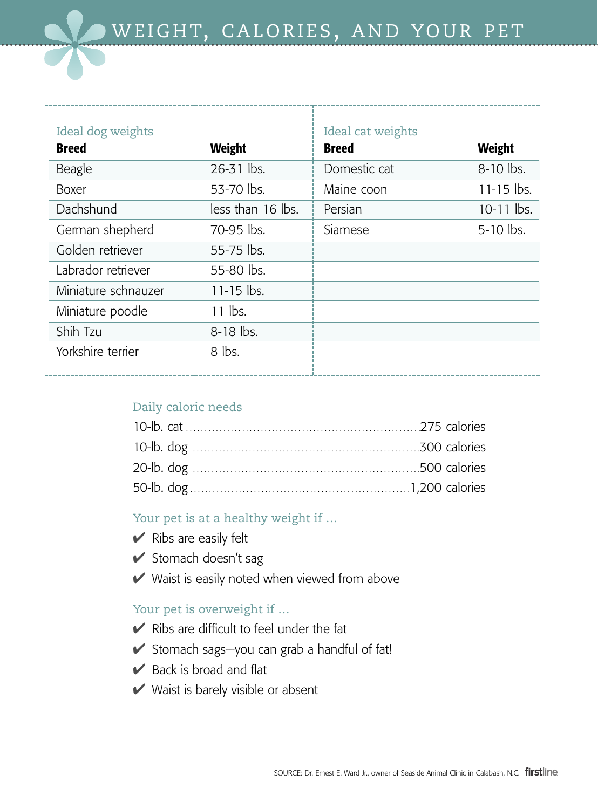| Ideal dog weights   |                   | Ideal cat weights |                |
|---------------------|-------------------|-------------------|----------------|
| <b>Breed</b>        | <b>Weight</b>     | <b>Breed</b>      | <b>Weight</b>  |
| Beagle              | 26-31 lbs.        | Domestic cat      | 8-10 lbs.      |
| <b>Boxer</b>        | 53-70 lbs.        | Maine coon        | $11 - 15$ lbs. |
| Dachshund           | less than 16 lbs. | Persian           | $10-11$ lbs.   |
| German shepherd     | 70-95 lbs.        | Siamese           | 5-10 lbs.      |
| Golden retriever    | 55-75 lbs.        |                   |                |
| Labrador retriever  | 55-80 lbs.        |                   |                |
| Miniature schnauzer | $11 - 15$ lbs.    |                   |                |
| Miniature poodle    | $11$ lbs.         |                   |                |
| Shih Tzu            | $8-18$ lbs.       |                   |                |
| Yorkshire terrier   | $8$ lbs.          |                   |                |

## Daily caloric needs

Your pet is at a healthy weight if …

- $\blacktriangleright$  Ribs are easily felt
- $\blacktriangleright$  Stomach doesn't sag
- $\vee$  Waist is easily noted when viewed from above

## Your pet is overweight if ...

- $\vee$  Ribs are difficult to feel under the fat
- ✔ Stomach sags—you can grab a handful of fat!
- $\triangleright$  Back is broad and flat
- $\vee$  Waist is barely visible or absent